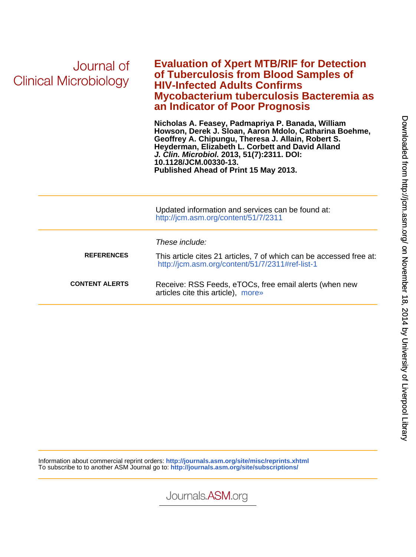| Journal of<br><b>Clinical Microbiology</b> | <b>Evaluation of Xpert MTB/RIF for Detection</b><br>of Tuberculosis from Blood Samples of<br><b>HIV-Infected Adults Confirms</b><br>Mycobacterium tuberculosis Bacteremia as<br>an Indicator of Poor Prognosis                                                                                                                        |
|--------------------------------------------|---------------------------------------------------------------------------------------------------------------------------------------------------------------------------------------------------------------------------------------------------------------------------------------------------------------------------------------|
|                                            | Nicholas A. Feasey, Padmapriya P. Banada, William<br>Howson, Derek J. Sloan, Aaron Mdolo, Catharina Boehme,<br>Geoffrey A. Chipungu, Theresa J. Allain, Robert S.<br>Heyderman, Elizabeth L. Corbett and David Alland<br>J. Clin. Microbiol. 2013, 51(7):2311. DOI:<br>10.1128/JCM.00330-13.<br>Published Ahead of Print 15 May 2013. |
|                                            | Updated information and services can be found at:<br>http://jcm.asm.org/content/51/7/2311                                                                                                                                                                                                                                             |
|                                            | These include:                                                                                                                                                                                                                                                                                                                        |
| <b>REFERENCES</b>                          | This article cites 21 articles, 7 of which can be accessed free at:<br>http://jcm.asm.org/content/51/7/2311#ref-list-1                                                                                                                                                                                                                |
| <b>CONTENT ALERTS</b>                      | Receive: RSS Feeds, eTOCs, free email alerts (when new<br>articles cite this article), more»                                                                                                                                                                                                                                          |

Information about commercial reprint orders: **<http://journals.asm.org/site/misc/reprints.xhtml>** To subscribe to to another ASM Journal go to: **<http://journals.asm.org/site/subscriptions/>**

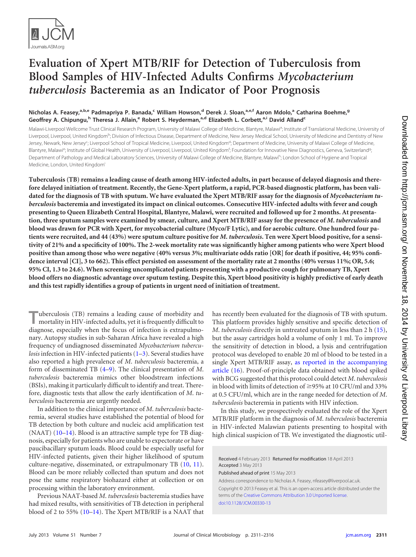

# **Evaluation of Xpert MTB/RIF for Detection of Tuberculosis from Blood Samples of HIV-Infected Adults Confirms** *Mycobacterium tuberculosis* **Bacteremia as an Indicator of Poor Prognosis**

## **Nicholas A. Feasey, a,b,e Padmapriya P. Banada, <sup>c</sup> William Howson, <sup>d</sup> Derek J. Sloan, a,e,f Aaron Mdolo, <sup>a</sup> Catharina Boehme, g Geoffrey A. Chipungu, <sup>h</sup> Theresa J. Allain, <sup>e</sup> Robert S. Heyderman, a,d Elizabeth L. Corbett, a,i David Allandc**

Malawi-Liverpool Wellcome Trust Clinical Research Program, University of Malawi College of Medicine, Blantyre, Malawi<sup>a</sup>; Institute of Translational Medicine, University of Liverpool, Liverpool, United Kingdom<sup>b</sup>; Division of Infectious Disease, Department of Medicine, New Jersey Medical School, University of Medicine and Dentistry of New Jersey, Newark, New Jersey<sup>c</sup>; Liverpool School of Tropical Medicine, Liverpool, United Kingdom<sup>d</sup>; Department of Medicine, University of Malawi College of Medicine, Blantyre, Malawi<sup>e</sup>; Institute of Global Health, University of Liverpool, Liverpool, United Kingdom<sup>f</sup>; Foundation for Innovative New Diagnostics, Geneva, Switzerland<sup>9</sup> ; Department of Pathology and Medical Laboratory Sciences, University of Malawi College of Medicine, Blantyre, Malawih; London School of Hygiene and Tropical Medicine, London, United Kingdom<sup>i</sup>

**Tuberculosis (TB) remains a leading cause of death among HIV-infected adults, in part because of delayed diagnosis and therefore delayed initiation of treatment. Recently, the Gene-Xpert platform, a rapid, PCR-based diagnostic platform, has been validated for the diagnosis of TB with sputum. We have evaluated the Xpert MTB/RIF assay for the diagnosis of** *Mycobacterium tuberculosis* **bacteremia and investigated its impact on clinical outcomes. Consecutive HIV-infected adults with fever and cough presenting to Queen Elizabeth Central Hospital, Blantyre, Malawi, were recruited and followed up for 2 months. At presentation, three sputum samples were examined by smear, culture, and Xpert MTB/RIF assay for the presence of** *M***.** *tuberculosis* **and blood was drawn for PCR with Xpert, for mycobacterial culture (Myco/F Lytic), and for aerobic culture. One hundred four patients were recruited, and 44 (43%) were sputum culture positive for** *M***.** *tuberculosis***. Ten were Xpert blood positive, for a sensitivity of 21% and a specificity of 100%. The 2-week mortality rate was significantly higher among patients who were Xpert blood positive than among those who were negative (40% versus 3%; multivariate odds ratio [OR] for death if positive, 44; 95% confidence interval [CI], 3 to 662). This effect persisted on assessment of the mortality rate at 2 months (40% versus 11%; OR, 5.6; 95% CI, 1.3 to 24.6). When screening uncomplicated patients presenting with a productive cough for pulmonary TB, Xpert blood offers no diagnostic advantage over sputum testing. Despite this, Xpert blood positivity is highly predictive of early death and this test rapidly identifies a group of patients in urgent need of initiation of treatment.**

**T**uberculosis (TB) remains a leading cause of morbidity and mortality in HIV-infected adults, yet it is frequently difficult to diagnose, especially when the focus of infection is extrapulmonary. Autopsy studies in sub-Saharan Africa have revealed a high frequency of undiagnosed disseminated *Mycobacterium tuberculosis* infection in HIV-infected patients [\(1](#page-6-0)[–3\)](#page-6-1). Several studies have also reported a high prevalence of *M*. *tuberculosis* bacteremia, a form of disseminated TB [\(4–](#page-6-2)[9\)](#page-6-3). The clinical presentation of *M*. *tuberculosis* bacteremia mimics other bloodstream infections (BSIs), making it particularly difficult to identify and treat. Therefore, diagnostic tests that allow the early identification of *M*. *tuberculosis* bacteremia are urgently needed.

In addition to the clinical importance of *M*. *tuberculosis* bacteremia, several studies have established the potential of blood for TB detection by both culture and nucleic acid amplification test (NAAT) [\(10–](#page-6-4)[14\)](#page-6-5). Blood is an attractive sample type for TB diagnosis, especially for patients who are unable to expectorate or have paucibacillary sputum loads. Blood could be especially useful for HIV-infected patients, given their higher likelihood of sputum culture-negative, disseminated, or extrapulmonary TB [\(10,](#page-6-4) [11\)](#page-6-6). Blood can be more reliably collected than sputum and does not pose the same respiratory biohazard either at collection or on processing within the laboratory environment.

Previous NAAT-based *M*. *tuberculosis* bacteremia studies have had mixed results, with sensitivities of TB detection in peripheral blood of 2 to 55% [\(10](#page-6-4)[–14\)](#page-6-5). The Xpert MTB/RIF is a NAAT that has recently been evaluated for the diagnosis of TB with sputum. This platform provides highly sensitive and specific detection of *M. tuberculosis* directly in untreated sputum in less than 2 h [\(15\)](#page-6-7), but the assay cartridges hold a volume of only 1 ml. To improve the sensitivity of detection in blood, a lysis and centrifugation protocol was developed to enable 20 ml of blood to be tested in a single Xpert MTB/RIF assay, [as reported in the accompanying](http://dx.doi.org/10.1128/JCM.00332-13) [article](http://dx.doi.org/10.1128/JCM.00332-13) [\(16\)](#page-6-8). Proof-of-principle data obtained with blood spiked with BCG suggested that this protocol could detect *M*. *tuberculosis* in blood with limits of detection of  $\geq$ 95% at 10 CFU/ml and 33% at 0.5 CFU/ml, which are in the range needed for detection of *M*. *tuberculosis* bacteremia in patients with HIV infection.

In this study, we prospectively evaluated the role of the Xpert MTB/RIF platform in the diagnosis of *M*. *tuberculosis* bacteremia in HIV-infected Malawian patients presenting to hospital with high clinical suspicion of TB. We investigated the diagnostic util-

Received 4 February 2013 Returned for modification 18 April 2013 Accepted 3 May 2013

Published ahead of print 15 May 2013

Address correspondence to Nicholas A. Feasey, nfeasey@liverpool.ac.uk.

Copyright © 2013 Feasey et al. This is an open-access article distributed under the terms of the [Creative Commons Attribution 3.0 Unported license.](http://creativecommons.org/licenses/by/3.0/) [doi:10.1128/JCM.00330-13](http://dx.doi.org/10.1128/JCM.00330-13)

Downloaded from http://jcm.asm.org/ on November 18, 2014 by University of Liverpool Library on November 18, 2014 by University of Liverpool Library <http://jcm.asm.org/> Downloaded from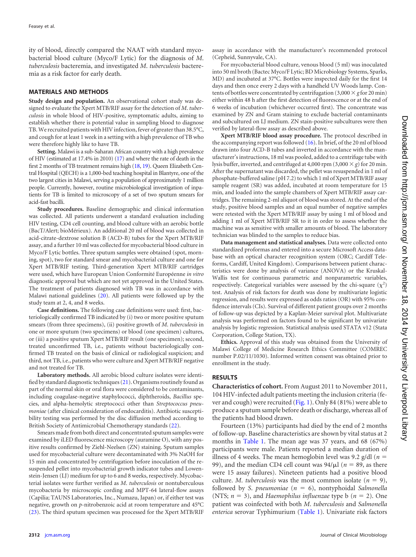ity of blood, directly compared the NAAT with standard mycobacterial blood culture (Myco/F Lytic) for the diagnosis of *M*. *tuberculosis* bacteremia, and investigated *M*. *tuberculosis* bacteremia as a risk factor for early death.

### **MATERIALS AND METHODS**

**Study design and population.** An observational cohort study was designed to evaluate the Xpert MTB/RIF assay for the detection of *M*. *tuberculosis* in whole blood of HIV-positive, symptomatic adults, aiming to establish whether there is potential value in sampling blood to diagnose TB.We recruited patients with HIV infection, fever of greater than 38.5°C, and cough for at least 1 week in a setting with a high prevalence of TB who were therefore highly like to have TB.

**Setting.** Malawi is a sub-Saharan African country with a high prevalence of HIV (estimated at 17.4% in 2010) [\(17\)](#page-6-9) and where the rate of death in the first 2 months of TB treatment remains high [\(18,](#page-6-10) [19\)](#page-6-11). Queen Elizabeth Central Hospital (QECH) is a 1,000-bed teaching hospital in Blantyre, one of the two largest cities in Malawi, serving a population of approximately 1 million people. Currently, however, routine microbiological investigation of inpatients for TB is limited to microscopy of a set of two sputum smears for acid-fast bacilli.

**Study procedures.** Baseline demographic and clinical information was collected. All patients underwent a standard evaluation including HIV testing, CD4 cell counting, and blood culture with an aerobic bottle (BacT/Alert; bioMérieux). An additional 20 ml of blood was collected in acid-citrate-dextrose solution B (ACD-B) tubes for the Xpert MTB/RIF assay, and a further 10 ml was collected for mycobacterial blood culture in Myco/F Lytic bottles. Three sputum samples were obtained (spot, morning, spot), two for standard smear and mycobacterial culture and one for Xpert MTB/RIF testing. Third-generation Xpert MTB/RIF cartridges were used, which have European Union Conformité Européenne *in vitro* diagnostic approval but which are not yet approved in the United States. The treatment of patients diagnosed with TB was in accordance with Malawi national guidelines [\(20\)](#page-6-12). All patients were followed up by the study team at 2, 4, and 8 weeks.

**Case definitions.** The following case definitions were used: first, bacteriologically confirmed TB indicated by (i) two or more positive sputum smears (from three specimens), (ii) positive growth of *M*. *tuberculosis* in one or more sputum (two specimens) or blood (one specimen) cultures, or (iii) a positive sputum Xpert MTB/RIF result (one specimen); second, treated unconfirmed TB, i.e., patients without bacteriologically confirmed TB treated on the basis of clinical or radiological suspicion; and third, not TB, i.e., patients who were culture and Xpert MTB/RIF negative and not treated for TB.

**Laboratory methods.** All aerobic blood culture isolates were identified by standard diagnostic techniques [\(21\)](#page-6-13). Organisms routinely found as part of the normal skin or oral flora were considered to be contaminants, including coagulase-negative staphylococci, diphtheroids, *Bacillus* species, and alpha-hemolytic streptococci other than *Streptococcus pneumoniae* (after clinical consideration of endocarditis). Antibiotic susceptibility testing was performed by the disc diffusion method according to British Society of Antimicrobial Chemotherapy standards [\(22\)](#page-6-14).

Smears made from both direct and concentrated sputum samples were examined by iLED fluorescence microscopy (auramine O), with any positive results confirmed by Ziehl-Neelsen (ZN) staining. Sputum samples used for mycobacterial culture were decontaminated with 3% NaOH for 15 min and concentrated by centrifugation before inoculation of the resuspended pellet into mycobacterial growth indicator tubes and Lowenstein-Jensen (LJ) medium for up to 6 and 8 weeks, respectively. Mycobacterial isolates were further verified as *M*. *tuberculosis* or nontuberculous mycobacteria by microscopic cording and MPT-64 lateral-flow assays (Capilia; TAUNS Laboratories, Inc., Numazu, Japan) or, if either test was negative, growth on *p*-nitrobenzoic acid at room temperature and 45°C [\(23\)](#page-6-15). The third sputum specimen was processed for the Xpert MTB/RIF

assay in accordance with the manufacturer's recommended protocol (Cepheid, Sunnyvale, CA).

For mycobacterial blood culture, venous blood (5 ml) was inoculated into 50 ml broth (Bactec Myco/F Lytic; BD Microbiology Systems, Sparks, MD) and incubated at 37°C. Bottles were inspected daily for the first 14 days and then once every 2 days with a handheld UV Woods lamp. Contents of bottles were concentrated by centrifugation  $(3,000 \times g$  for 20 min) either within 48 h after the first detection of fluorescence or at the end of 6 weeks of incubation (whichever occurred first). The concentrate was examined by ZN and Gram staining to exclude bacterial contaminants and subcultured on LJ medium. ZN stain-positive subcultures were then verified by lateral-flow assay as described above.

**Xpert MTB/RIF blood assay procedure.** The protocol described in the accompanying report was followed [\(16\)](#page-6-8). In brief, of the 20 ml of blood drawn into four ACD-B tubes and inverted in accordance with the manufacturer's instructions, 18 ml was pooled, added to a centrifuge tube with lysis buffer, inverted, and centrifuged at 4,000 rpm  $(3,000 \times g)$  for 20 min. After the supernatant was discarded, the pellet was resuspended in 1 ml of phosphate-buffered saline (pH 7.2) to which 1 ml of Xpert MTB/RIF assay sample reagent (SR) was added, incubated at room temperature for 15 min, and loaded into the sample chambers of Xpert MTB/RIF assay cartridges. The remaining 2-ml aliquot of blood was stored. At the end of the study, positive blood samples and an equal number of negative samples were retested with the Xpert MTB/RIF assay by using 1 ml of blood and adding 1 ml of Xpert MTB/RIF SR to it in order to assess whether the machine was as sensitive with smaller amounts of blood. The laboratory technician was blinded to the samples to reduce bias.

**Data management and statistical analyses.** Data were collected onto standardized proformas and entered into a secure Microsoft Access database with an optical character recognition system (ORC; Cardiff Teleforms, Cardiff, United Kingdom). Comparisons between patient characteristics were done by analysis of variance (ANOVA) or the Kruskal-Wallis test for continuous parametric and nonparametric variables, respectively. Categorical variables were assessed by the chi-square  $(\chi^2)$ test. Analysis of risk factors for death was done by multivariate logistic regression, and results were expressed as odds ratios (OR) with 95% confidence intervals (CIs). Survival of different patient groups over 2 months of follow-up was depicted by a Kaplan-Meier survival plot. Multivariate analysis was performed on factors found to be significant by univariate analysis by logistic regression. Statistical analysis used STATA v12 (Stata Corporation, College Station, TX).

**Ethics.** Approval of this study was obtained from the University of Malawi College of Medicine Research Ethics Committee (COMREC number P.02/11/1030). Informed written consent was obtained prior to enrollment in the study.

## **RESULTS**

**Characteristics of cohort.** From August 2011 to November 2011, 104 HIV-infected adult patients meeting the inclusion criteria (fever and cough) were recruited [\(Fig. 1\)](#page-3-0). Only 84 (81%) were able to produce a sputum sample before death or discharge, whereas all of the patients had blood drawn.

Fourteen (13%) participants had died by the end of 2 months of follow-up. Baseline characteristics are shown by vital status at 2 months in [Table 1.](#page-4-0) The mean age was 37 years, and 68 (67%) participants were male. Patients reported a median duration of illness of 4 weeks. The mean hemoglobin level was 9.2 g/dl (*n* 99), and the median CD4 cell count was  $94/\mu$ l ( $n = 89$ , as there were 15 assay failures). Nineteen patients had a positive blood culture. *M. tuberculosis* was the most common isolate  $(n = 9)$ , followed by *S. pneumoniae*  $(n = 6)$ , nontyphoidal *Salmonella* (NTS;  $n = 3$ ), and *Haemophilus influenzae* type b ( $n = 2$ ). One patient was coinfected with both *M*. *tuberculosis* and *Salmonella enterica* serovar Typhimurium [\(Table 1\)](#page-4-0). Univariate risk factors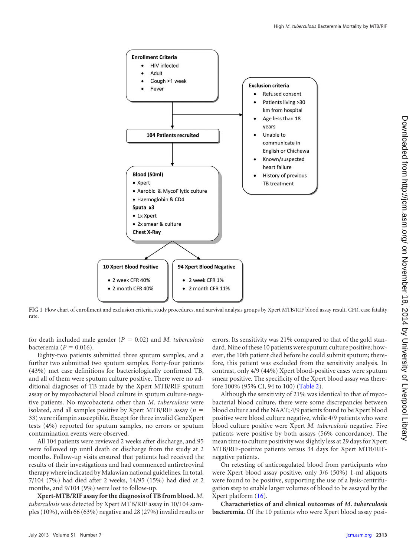

<span id="page-3-0"></span>**FIG 1** Flow chart of enrollment and exclusion criteria, study procedures, and survival analysis groups by Xpert MTB/RIF blood assay result. CFR, case fatality rate.

for death included male gender  $(P = 0.02)$  and *M. tuberculosis* bacteremia ( $P = 0.016$ ).

Eighty-two patients submitted three sputum samples, and a further two submitted two sputum samples. Forty-four patients (43%) met case definitions for bacteriologically confirmed TB, and all of them were sputum culture positive. There were no additional diagnoses of TB made by the Xpert MTB/RIF sputum assay or by mycobacterial blood culture in sputum culture-negative patients. No mycobacteria other than *M*. *tuberculosis* were isolated, and all samples positive by Xpert MTB/RIF assay (*n* 33) were rifampin susceptible. Except for three invalid GeneXpert tests (4%) reported for sputum samples, no errors or sputum contamination events were observed.

All 104 patients were reviewed 2 weeks after discharge, and 95 were followed up until death or discharge from the study at 2 months. Follow-up visits ensured that patients had received the results of their investigations and had commenced antiretroviral therapy where indicated by Malawian national guidelines. In total, 7/104 (7%) had died after 2 weeks, 14/95 (15%) had died at 2 months, and 9/104 (9%) were lost to follow-up.

**Xpert-MTB/RIF assay for the diagnosis of TB from blood.** *M*. *tuberculosis* was detected by Xpert MTB/RIF assay in 10/104 samples (10%), with 66 (63%) negative and 28 (27%) invalid results or errors. Its sensitivity was 21% compared to that of the gold standard. Nine of these 10 patients were sputum culture positive; however, the 10th patient died before he could submit sputum; therefore, this patient was excluded from the sensitivity analysis. In contrast, only 4/9 (44%) Xpert blood-positive cases were sputum smear positive. The specificity of the Xpert blood assay was therefore 100% (95% CI, 94 to 100) [\(Table 2\)](#page-4-1).

Although the sensitivity of 21% was identical to that of mycobacterial blood culture, there were some discrepancies between blood culture and the NAAT; 4/9 patients found to be Xpert blood positive were blood culture negative, while 4/9 patients who were blood culture positive were Xpert *M*. *tuberculosis* negative. Five patients were positive by both assays (56% concordance). The mean time to culture positivity was slightly less at 29 days for Xpert MTB/RIF-positive patients versus 34 days for Xpert MTB/RIFnegative patients.

On retesting of anticoagulated blood from participants who were Xpert blood assay positive, only 3/6 (50%) 1-ml aliquots were found to be positive, supporting the use of a lysis-centrifugation step to enable larger volumes of blood to be assayed by the Xpert platform [\(16\)](#page-6-8).

**Characteristics of and clinical outcomes of** *M***.** *tuberculosis* **bacteremia.** Of the 10 patients who were Xpert blood assay posi-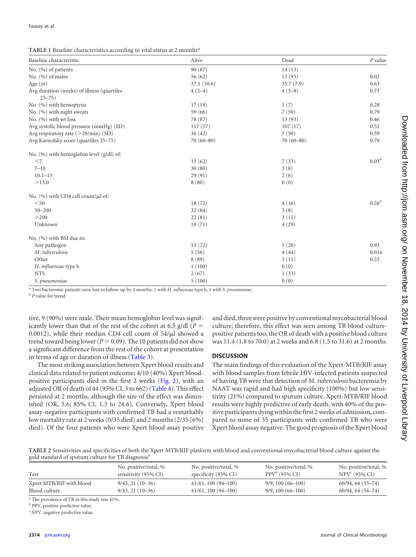<span id="page-4-0"></span>

|  |  |  | TABLE 1 Baseline characteristics according to vital status at 2 months <sup>a</sup> |
|--|--|--|-------------------------------------------------------------------------------------|
|--|--|--|-------------------------------------------------------------------------------------|

| Baseline characteristic                                 | Alive         | Dead          | $P$ value  |
|---------------------------------------------------------|---------------|---------------|------------|
| No. (%) of patients                                     | 90 (87)       | 14(13)        |            |
| No. $(\% )$ of males                                    | 56(62)        | 13(93)        | 0.02       |
| Age $(yr)$                                              | 37.1(10.6)    | 35.7 (7.9)    | 0.63       |
| Avg duration (weeks) of illness (quartiles<br>$25 - 75$ | $4(2-4)$      | $4(3-8)$      | 0.73       |
| No. (%) with hemoptysis                                 | 17(19)        | 1(7)          | 0.28       |
| No. (%) with night sweats                               | 59 (66)       | 7(50)         | 0.79       |
| No. $(%)$ with wt loss                                  | 78 (87)       | 13(93)        | 0.46       |
| Avg systolic blood pressure (mmHg) (SD)                 | 117(57)       | 107(17)       | 0.52       |
| Avg respiratory rate $(>28/\text{min})$ (SD)            | 36(42)        | 7(50)         | 0.59       |
| Avg Karnofsky score (quartiles 25-75)                   | $70(60 - 80)$ | $70(60 - 80)$ | 0.79       |
| No. $(\% )$ with hemoglobin level $(g/dl)$ of:          |               |               |            |
| $<$ 7                                                   | 13(62)        | 7(33)         | $0.03^{b}$ |
| $7 - 10$                                                | 30(80)        | 3(8)          |            |
| $10.1 - 13$                                             | 29(91)        | 2(6)          |            |
| >13.0                                                   | 8(80)         | 0(0)          |            |
| No. $(\% )$ with CD4 cell count/ $\mu$ l of:            |               |               |            |
| $50$                                                    | 18(72)        | 4(16)         | $0.26^{b}$ |
| $50 - 200$                                              | 32(84)        | 3(8)          |            |
| >200                                                    | 22(81)        | 3(11)         |            |
| Unknown                                                 | 10(71)        | 4(29)         |            |
| No. (%) with BSI due to:                                |               |               |            |
| Any pathogen                                            | 13(72)        | 5(28)         | 0.93       |
| M. tuberculosis                                         | 5(56)         | 4(44)         | 0.016      |
| Other                                                   | 8(89)         | 1(11)         | 0.23       |
| H. influenzae type b                                    | 1(100)        | 0(0)          |            |
| <b>NTS</b>                                              | 2(67)         | 1(33)         |            |
| S. pneumoniae                                           | 5(100)        | 0(0)          |            |

*<sup>a</sup>* Two bacteremic patients were lost to follow-up by 2 months: 1 with *H*. *influenzae* type b, 1 with *S*. *pneumoniae*.

*<sup>b</sup> P* value for trend.

tive, 9 (90%) were male. Their mean hemoglobin level was significantly lower than that of the rest of the cohort at 6.5 g/dl ( $P =$ 0.0012), while their median CD4 cell count of  $54/\mu$ l showed a trend toward being lower ( $P = 0.09$ ). The 10 patients did not show a significant difference from the rest of the cohort at presentation in terms of age or duration of illness [\(Table 3\)](#page-5-0).

The most striking association between Xpert blood results and clinical data related to patient outcome; 4/10 (40%) Xpert bloodpositive participants died in the first 2 weeks [\(Fig. 2\)](#page-5-1), with an adjusted OR of death of 44 (95% CI, 3 to 662) [\(Table 4\)](#page-5-2). This effect persisted at 2 months, although the size of the effect was diminished (OR, 5.6; 85% CI, 1.3 to 24.6). Conversely, Xpert blood assay-negative participants with confirmed TB had a remarkably low mortality rate at 2 weeks (0/35 died) and 2 months (2/35 [6%] died). Of the four patients who were Xpert blood assay positive

and died, three were positive by conventional mycobacterial blood culture; therefore, this effect was seen among TB blood culturepositive patients too; the OR of death with a positive blood culture was 11.4 (1.8 to 70.0) at 2 weeks and 6.8 (1.5 to 31.6) at 2 months.

### **DISCUSSION**

The main findings of this evaluation of the Xpert-MTB/RIF assay with blood samples from febrile HIV-infected patients suspected of having TB were that detection of *M*. *tuberculosis* bacteremia by NAAT was rapid and had high specificity (100%) but low sensitivity (21%) compared to sputum culture. Xpert-MTB/RIF blood results were highly predictive of early death, with 40% of the positive participants dying within the first 2 weeks of admission, compared to none of 35 participants with confirmed TB who were Xpert blood assay negative. The good prognosis of the Xpert blood

<span id="page-4-1"></span>**TABLE 2** Sensitivities and specificities of both the Xpert MTB/RIF platform with blood and conventional mycobacterial blood culture against the gold standard of sputum culture for TB diagnosis*<sup>a</sup>*

| Test                     | No. positive/total, % | No. positive/total, %           | No. positive/total, % | No. positive/total, % |
|--------------------------|-----------------------|---------------------------------|-----------------------|-----------------------|
|                          | sensitivity (95% CI)  | specificity $(95\% \text{ CI})$ | $PPV^b$ (95% CI)      | $NPV^c(95\% CI)$      |
| Xpert MTB/RIF with blood | $9/43, 21(10-36)$     | $61/61$ , 100 (94-100)          | $9/9, 100 (66 - 100)$ | $60/94, 64(53-74)$    |
| Blood culture            | $9/43, 21(10-36)$     | $61/61$ , 100 (94-100)          | $9/9, 100 (66 - 100)$ | $60/94, 64(54-74)$    |
|                          |                       |                                 |                       |                       |

*<sup>a</sup>* The prevalence of TB in this study was 41%.

*b* PPV, positive predictive value.

*<sup>c</sup>* NPV, negative predictive value.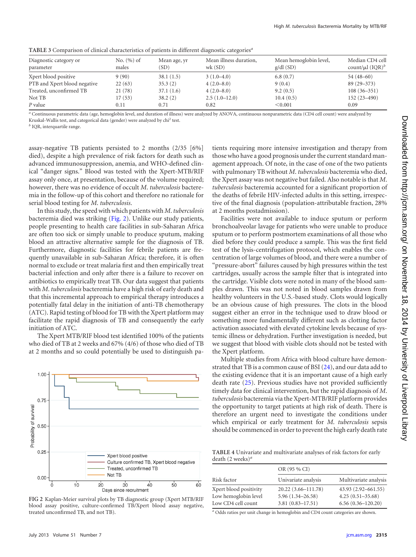<span id="page-5-0"></span>

| TABLE 3 Comparison of clinical characteristics of patients in different diagnostic categories <sup>a</sup> |  |  |  |
|------------------------------------------------------------------------------------------------------------|--|--|--|
|                                                                                                            |  |  |  |

| Diagnostic category or<br>parameter | No. $(\% )$ of<br>males | Mean age, yr<br>(SD) | Mean illness duration,<br>wk(SD) | Mean hemoglobin level,<br>$g/dl$ (SD) | Median CD4 cell<br>count/ $\mu$ l (IQR) <sup>b</sup> |
|-------------------------------------|-------------------------|----------------------|----------------------------------|---------------------------------------|------------------------------------------------------|
| Xpert blood positive                | 9(90)                   | 38.1(1.5)            | $3(1.0-4.0)$                     | 6.8(0.7)                              | $54(48-60)$                                          |
| PTB and Xpert blood negative        | 22(63)                  | 35.3(2)              | $4(2.0-8.0)$                     | 9(0.4)                                | $89(29 - 373)$                                       |
| Treated, unconfirmed TB             | 21(78)                  | 37.1(1.6)            | $4(2.0-8.0)$                     | 9.2(0.5)                              | $108(36-351)$                                        |
| Not TB                              | 17(53)                  | 38.2(2)              | $2.5(1.0-12.0)$                  | 10.4(0.5)                             | $152(23 - 490)$                                      |
| P value                             | 0.11                    | 0.71                 | 0.82                             | < 0.001                               | 0.09                                                 |

*<sup>a</sup>* Continuous parametric data (age, hemoglobin level, and duration of illness) were analyzed by ANOVA, continuous nonparametric data (CD4 cell count) were analyzed by Kruskal-Wallis test, and categorical data (gender) were analyzed by chi<sup>2</sup> test.

*<sup>b</sup>* IQR, interquartile range.

assay-negative TB patients persisted to 2 months (2/35 [6%] died), despite a high prevalence of risk factors for death such as advanced immunosuppression, anemia, and WHO-defined clinical "danger signs." Blood was tested with the Xpert-MTB/RIF assay only once, at presentation, because of the volume required; however, there was no evidence of occult *M*. *tuberculosis* bacteremia in the follow-up of this cohort and therefore no rationale for serial blood testing for *M*. *tuberculosis*.

In this study, the speed with which patients with *M*. *tuberculosis* bacteremia died was striking [\(Fig. 2\)](#page-5-1). Unlike our study patients, people presenting to health care facilities in sub-Saharan Africa are often too sick or simply unable to produce sputum, making blood an attractive alternative sample for the diagnosis of TB. Furthermore, diagnostic facilities for febrile patients are frequently unavailable in sub-Saharan Africa; therefore, it is often normal to exclude or treat malaria first and then empirically treat bacterial infection and only after there is a failure to recover on antibiotics to empirically treat TB. Our data suggest that patients with *M*. *tuberculosis* bacteremia have a high risk of early death and that this incremental approach to empirical therapy introduces a potentially fatal delay in the initiation of anti-TB chemotherapy (ATC). Rapid testing of blood for TB with the Xpert platform may facilitate the rapid diagnosis of TB and consequently the early initiation of ATC.

The Xpert MTB/RIF blood test identified 100% of the patients who died of TB at 2 weeks and 67% (4/6) of those who died of TB at 2 months and so could potentially be used to distinguish pa-



<span id="page-5-1"></span>**FIG 2** Kaplan-Meier survival plots by TB diagnostic group (Xpert MTB/RIF blood assay positive, culture-confirmed TB/Xpert blood assay negative, treated unconfirmed TB, and not TB).

tients requiring more intensive investigation and therapy from those who have a good prognosis under the current standard management approach. Of note, in the case of one of the two patients with pulmonary TB without *M*. *tuberculosis* bacteremia who died, the Xpert assay was not negative but failed. Also notable is that *M*. *tuberculosis* bacteremia accounted for a significant proportion of the deaths of febrile HIV-infected adults in this setting, irrespective of the final diagnosis (population-attributable fraction, 28% at 2 months postadmission).

Facilities were not available to induce sputum or perform bronchoalveolar lavage for patients who were unable to produce sputum or to perform postmortem examinations of all those who died before they could produce a sample. This was the first field test of the lysis-centrifugation protocol, which enables the concentration of large volumes of blood, and there were a number of "pressure-abort" failures caused by high pressures within the test cartridges, usually across the sample filter that is integrated into the cartridge. Visible clots were noted in many of the blood samples drawn. This was not noted in blood samples drawn from healthy volunteers in the U.S.-based study. Clots would logically be an obvious cause of high pressures. The clots in the blood suggest either an error in the technique used to draw blood or something more fundamentally different such as clotting factor activation associated with elevated cytokine levels because of systemic illness or dehydration. Further investigation is needed, but we suggest that blood with visible clots should not be tested with the Xpert platform.

Multiple studies from Africa with blood culture have demonstrated that TB is a common cause of BSI [\(24\)](#page-6-16), and our data add to the existing evidence that it is an important cause of a high early death rate [\(25\)](#page-6-17). Previous studies have not provided sufficiently timely data for clinical intervention, but the rapid diagnosis of *M*. *tuberculosis* bacteremia via the Xpert-MTB/RIF platform provides the opportunity to target patients at high risk of death. There is therefore an urgent need to investigate the conditions under which empirical or early treatment for *M*. *tuberculosis* sepsis should be commenced in order to prevent the high early death rate

<span id="page-5-2"></span>**TABLE 4** Univariate and multivariate analyses of risk factors for early death (2 weeks)*<sup>a</sup>*

|                        | OR (95 % CI)         |                       |  |  |
|------------------------|----------------------|-----------------------|--|--|
| Risk factor            | Univariate analysis  | Multivariate analysis |  |  |
| Xpert blood positivity | 20.22 (3.66-111.78)  | 43.93 (2.92–661.55)   |  |  |
| Low hemoglobin level   | $5.96(1.34 - 26.58)$ | $4.25(0.51 - 35.68)$  |  |  |
| Low CD4 cell count     | $3.81(0.83 - 17.51)$ | $6.56(0.36 - 120.20)$ |  |  |

*<sup>a</sup>* Odds ratios per unit change in hemoglobin and CD4 count categories are shown.